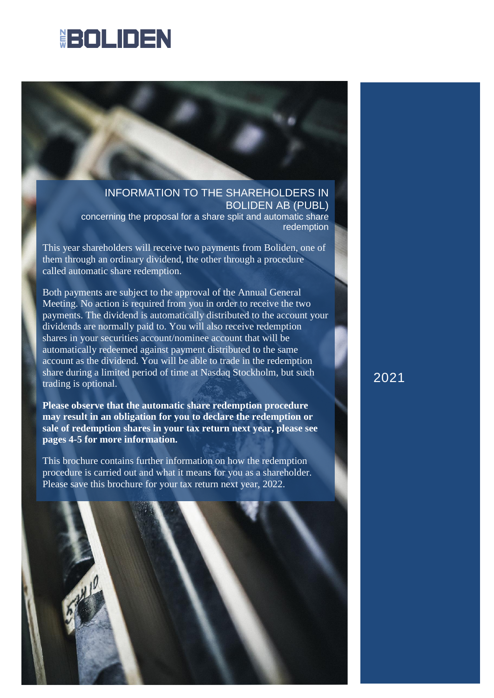# **BOLIDEN**

INFORMATION TO THE SHAREHOLDERS IN BOLIDEN AB (PUBL)

concerning the proposal for a share split and automatic share redemption

This year shareholders will receive two payments from Boliden, one of them through an ordinary dividend, the other through a procedure called automatic share redemption.

Both payments are subject to the approval of the Annual General Meeting. No action is required from you in order to receive the two payments. The dividend is automatically distributed to the account your dividends are normally paid to. You will also receive redemption shares in your securities account/nominee account that will be automatically redeemed against payment distributed to the same account as the dividend. You will be able to trade in the redemption share during a limited period of time at Nasdaq Stockholm, but such trading is optional.

**Please observe that the automatic share redemption procedure may result in an obligation for you to declare the redemption or sale of redemption shares in your tax return next year, please see pages 4-5 for more information.** 

This brochure contains further information on how the redemption procedure is carried out and what it means for you as a shareholder. Please save this brochure for your tax return next year, 2022.



2021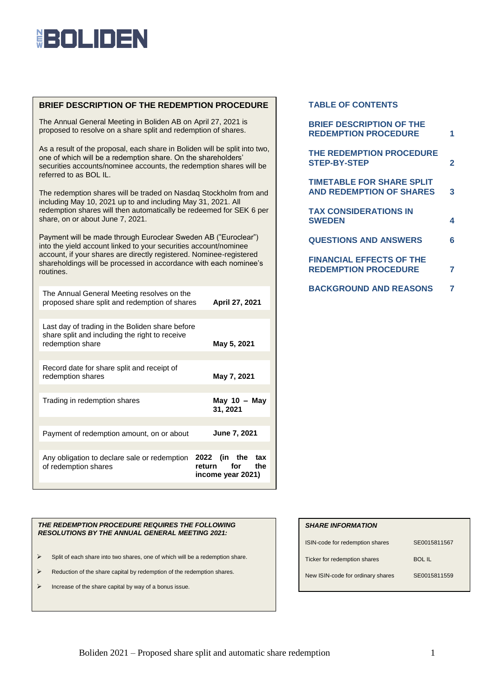# **EOLIDEN**

## **BRIEF DESCRIPTION OF THE REDEMPTION PROCEDURE**

The Annual General Meeting in Boliden AB on April 27, 2021 is proposed to resolve on a share split and redemption of shares.

As a result of the proposal, each share in Boliden will be split into two, one of which will be a redemption share. On the shareholders' securities accounts/nominee accounts, the redemption shares will be referred to as BOL IL.

The redemption shares will be traded on Nasdaq Stockholm from and including May 10, 2021 up to and including May 31, 2021. All redemption shares will then automatically be redeemed for SEK 6 per share, on or about June 7, 2021.

Payment will be made through Euroclear Sweden AB ("Euroclear") into the yield account linked to your securities account/nominee account, if your shares are directly registered. Nominee-registered shareholdings will be processed in accordance with each nominee's routines.

| The Annual General Meeting resolves on the<br>April 27, 2021<br>proposed share split and redemption of shares         |                                               |  |  |  |
|-----------------------------------------------------------------------------------------------------------------------|-----------------------------------------------|--|--|--|
|                                                                                                                       |                                               |  |  |  |
| Last day of trading in the Boliden share before<br>share split and including the right to receive<br>redemption share | May 5, 2021                                   |  |  |  |
|                                                                                                                       |                                               |  |  |  |
| Record date for share split and receipt of<br>redemption shares                                                       | May 7, 2021                                   |  |  |  |
|                                                                                                                       |                                               |  |  |  |
| Trading in redemption shares                                                                                          | May 10 $-$ May<br>31, 2021                    |  |  |  |
|                                                                                                                       |                                               |  |  |  |
| Payment of redemption amount, on or about                                                                             | <b>June 7, 2021</b>                           |  |  |  |
|                                                                                                                       |                                               |  |  |  |
| Any obligation to declare sale or redemption 2022 (in the<br>of redemption shares                                     | tax<br>return for<br>the<br>income year 2021) |  |  |  |

### *THE REDEMPTION PROCEDURE REQUIRES THE FOLLOWING RESOLUTIONS BY THE ANNUAL GENERAL MEETING 2021:*

- $\triangleright$  Split of each share into two shares, one of which will be a redemption share.
- $\triangleright$  Reduction of the share capital by redemption of the redemption shares.
- Increase of the share capital by way of a bonus issue.

### **TABLE OF CONTENTS**

| <b>BRIEF DESCRIPTION OF THE</b><br><b>REDEMPTION PROCEDURE</b>      | 1 |
|---------------------------------------------------------------------|---|
| THE REDEMPTION PROCEDURE<br><b>STEP-BY-STEP</b>                     | 2 |
| <b>TIMETABLE FOR SHARE SPLIT</b><br><b>AND REDEMPTION OF SHARES</b> | 3 |
| <b>TAX CONSIDERATIONS IN</b><br><b>SWEDEN</b>                       | 4 |
| <b>QUESTIONS AND ANSWERS</b>                                        | 6 |
| <b>FINANCIAL EFFECTS OF THE</b><br><b>REDEMPTION PROCEDURE</b>      | 7 |
| <b>BACKGROUND AND REASONS</b>                                       |   |

### *SHARE INFORMATION*

| ISIN-code for redemption shares   | SE0015811567 |  |  |
|-----------------------------------|--------------|--|--|
| Ticker for redemption shares      | BOL IL       |  |  |
| New ISIN-code for ordinary shares | SE0015811559 |  |  |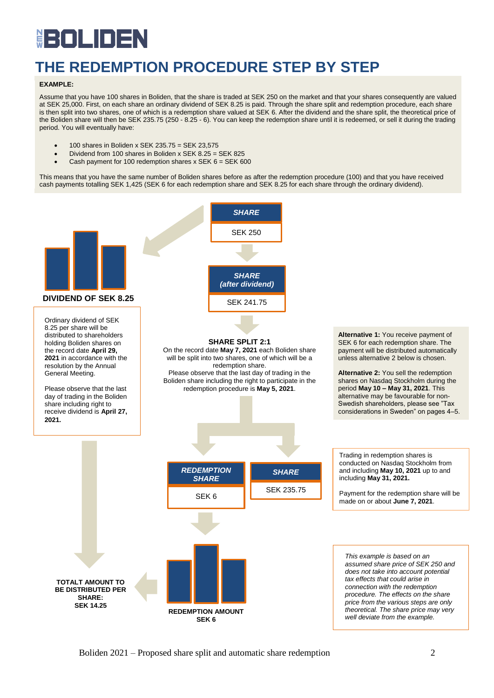# BOLIDE Ë

# **THE REDEMPTION PROCEDURE STEP BY STEP**

### **EXAMPLE:**

Assume that you have 100 shares in Boliden, that the share is traded at SEK 250 on the market and that your shares consequently are valued at SEK 25,000. First, on each share an ordinary dividend of SEK 8.25 is paid. Through the share split and redemption procedure, each share is then split into two shares, one of which is a redemption share valued at SEK 6. After the dividend and the share split, the theoretical price of the Boliden share will then be SEK 235.75 (250 - 8.25 - 6). You can keep the redemption share until it is redeemed, or sell it during the trading period. You will eventually have:

- $\bullet$  100 shares in Boliden x SEK 235.75 = SEK 23,575
- Dividend from 100 shares in Boliden x SEK 8.25 = SEK 825
- Cash payment for 100 redemption shares x SEK  $6 =$  SEK 600

This means that you have the same number of Boliden shares before as after the redemption procedure (100) and that you have received cash payments totalling SEK 1,425 (SEK 6 for each redemption share and SEK 8.25 for each share through the ordinary dividend).

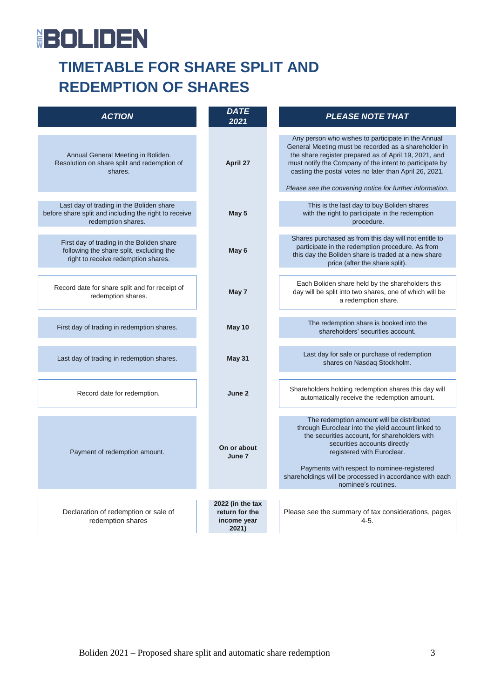# **BOLIDEN**

# **TIMETABLE FOR SHARE SPLIT AND REDEMPTION OF SHARES**

| <b>ACTION</b>                                                                                                                | DATE<br>2021                                               | <b>PLEASE NOTE THAT</b>                                                                                                                                                                                                                                                                                                                              |  |  |
|------------------------------------------------------------------------------------------------------------------------------|------------------------------------------------------------|------------------------------------------------------------------------------------------------------------------------------------------------------------------------------------------------------------------------------------------------------------------------------------------------------------------------------------------------------|--|--|
| Annual General Meeting in Boliden.<br>Resolution on share split and redemption of<br>shares.                                 | April 27                                                   | Any person who wishes to participate in the Annual<br>General Meeting must be recorded as a shareholder in<br>the share register prepared as of April 19, 2021, and<br>must notify the Company of the intent to participate by<br>casting the postal votes no later than April 26, 2021.<br>Please see the convening notice for further information. |  |  |
| Last day of trading in the Boliden share                                                                                     |                                                            | This is the last day to buy Boliden shares                                                                                                                                                                                                                                                                                                           |  |  |
| before share split and including the right to receive<br>redemption shares.                                                  | May 5                                                      | with the right to participate in the redemption<br>procedure.                                                                                                                                                                                                                                                                                        |  |  |
| First day of trading in the Boliden share<br>following the share split, excluding the<br>right to receive redemption shares. | May 6                                                      | Shares purchased as from this day will not entitle to<br>participate in the redemption procedure. As from<br>this day the Boliden share is traded at a new share<br>price (after the share split).                                                                                                                                                   |  |  |
| Record date for share split and for receipt of<br>redemption shares.                                                         | May 7                                                      | Each Boliden share held by the shareholders this<br>day will be split into two shares, one of which will be<br>a redemption share.                                                                                                                                                                                                                   |  |  |
| First day of trading in redemption shares.                                                                                   | May 10                                                     | The redemption share is booked into the<br>shareholders' securities account.                                                                                                                                                                                                                                                                         |  |  |
| Last day of trading in redemption shares.                                                                                    | <b>May 31</b>                                              | Last day for sale or purchase of redemption<br>shares on Nasdaq Stockholm.                                                                                                                                                                                                                                                                           |  |  |
| Record date for redemption.                                                                                                  | June 2                                                     | Shareholders holding redemption shares this day will<br>automatically receive the redemption amount.                                                                                                                                                                                                                                                 |  |  |
| Payment of redemption amount.                                                                                                | On or about<br>June 7                                      | The redemption amount will be distributed<br>through Euroclear into the yield account linked to<br>the securities account, for shareholders with<br>securities accounts directly<br>registered with Euroclear.<br>Payments with respect to nominee-registered<br>shareholdings will be processed in accordance with each<br>nominee's routines.      |  |  |
|                                                                                                                              |                                                            |                                                                                                                                                                                                                                                                                                                                                      |  |  |
| Declaration of redemption or sale of<br>redemption shares                                                                    | 2022 (in the tax<br>return for the<br>income year<br>2021) | Please see the summary of tax considerations, pages<br>$4 - 5$                                                                                                                                                                                                                                                                                       |  |  |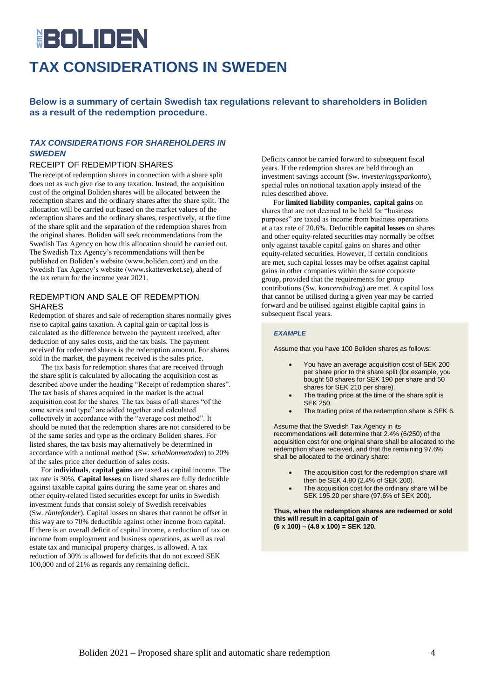# **HEIOLIDEN TAX CONSIDERATIONS IN SWEDEN**

**Below is a summary of certain Swedish tax regulations relevant to shareholders in Boliden as a result of the redemption procedure.**

## *TAX CONSIDERATIONS FOR SHAREHOLDERS IN SWEDEN*

## RECEIPT OF REDEMPTION SHARES

The receipt of redemption shares in connection with a share split does not as such give rise to any taxation. Instead, the acquisition cost of the original Boliden shares will be allocated between the redemption shares and the ordinary shares after the share split. The allocation will be carried out based on the market values of the redemption shares and the ordinary shares, respectively, at the time of the share split and the separation of the redemption shares from the original shares. Boliden will seek recommendations from the Swedish Tax Agency on how this allocation should be carried out. The Swedish Tax Agency's recommendations will then be published on Boliden's website (www.boliden.com) and on the Swedish Tax Agency's website (www.skatteverket.se), ahead of the tax return for the income year 2021.

## REDEMPTION AND SALE OF REDEMPTION SHARES

Redemption of shares and sale of redemption shares normally gives rise to capital gains taxation. A capital gain or capital loss is calculated as the difference between the payment received, after deduction of any sales costs, and the tax basis. The payment received for redeemed shares is the redemption amount. For shares sold in the market, the payment received is the sales price.

The tax basis for redemption shares that are received through the share split is calculated by allocating the acquisition cost as described above under the heading "Receipt of redemption shares". The tax basis of shares acquired in the market is the actual acquisition cost for the shares. The tax basis of all shares "of the same series and type" are added together and calculated collectively in accordance with the "average cost method". It should be noted that the redemption shares are not considered to be of the same series and type as the ordinary Boliden shares. For listed shares, the tax basis may alternatively be determined in accordance with a notional method (Sw. *schablonmetoden*) to 20% of the sales price after deduction of sales costs.

For i**ndividuals**, **capital gains** are taxed as capital income. The tax rate is 30%. **Capital losses** on listed shares are fully deductible against taxable capital gains during the same year on shares and other equity-related listed securities except for units in Swedish investment funds that consist solely of Swedish receivables (Sw. *räntefonder*). Capital losses on shares that cannot be offset in this way are to 70% deductible against other income from capital. If there is an overall deficit of capital income, a reduction of tax on income from employment and business operations, as well as real estate tax and municipal property charges, is allowed. A tax reduction of 30% is allowed for deficits that do not exceed SEK 100,000 and of 21% as regards any remaining deficit.

Deficits cannot be carried forward to subsequent fiscal years. If the redemption shares are held through an investment savings account (Sw. *investeringssparkonto*), special rules on notional taxation apply instead of the rules described above.

For **limited liability companies**, **capital gains** on shares that are not deemed to be held for "business purposes" are taxed as income from business operations at a tax rate of 20.6%. Deductible **capital losses** on shares and other equity-related securities may normally be offset only against taxable capital gains on shares and other equity-related securities. However, if certain conditions are met, such capital losses may be offset against capital gains in other companies within the same corporate group, provided that the requirements for group contributions (Sw. *koncernbidrag*) are met. A capital loss that cannot be utilised during a given year may be carried forward and be utilised against eligible capital gains in subsequent fiscal years.

### *EXAMPLE*

Assume that you have 100 Boliden shares as follows:

- You have an average acquisition cost of SEK 200 per share prior to the share split (for example, you bought 50 shares for SEK 190 per share and 50 shares for SEK 210 per share).
- The trading price at the time of the share split is SEK 250.
- The trading price of the redemption share is SEK 6.

Assume that the Swedish Tax Agency in its recommendations will determine that 2.4% (6/250) of the acquisition cost for one original share shall be allocated to the redemption share received, and that the remaining 97.6% shall be allocated to the ordinary share:

- The acquisition cost for the redemption share will then be SEK 4.80 (2.4% of SEK 200).
- The acquisition cost for the ordinary share will be SEK 195.20 per share (97.6% of SEK 200).

**Thus, when the redemption shares are redeemed or sold this will result in a capital gain of (6 x 100) – (4.8 x 100) = SEK 120.**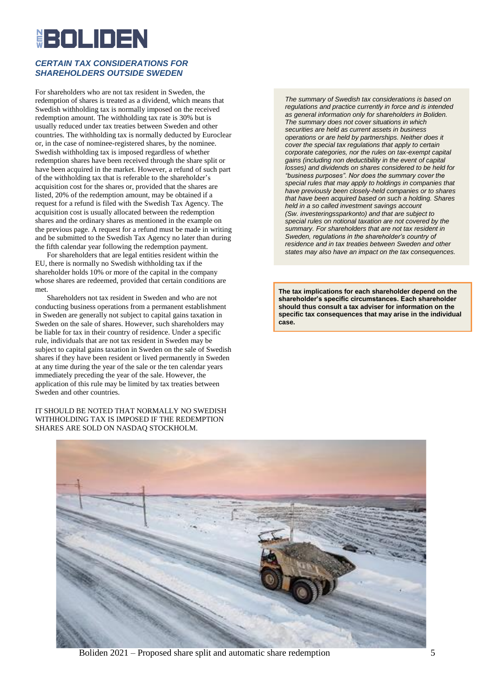# <u>HEITILINEN</u>

## *CERTAIN TAX CONSIDERATIONS FOR SHAREHOLDERS OUTSIDE SWEDEN*

For shareholders who are not tax resident in Sweden, the redemption of shares is treated as a dividend, which means that Swedish withholding tax is normally imposed on the received redemption amount. The withholding tax rate is 30% but is usually reduced under tax treaties between Sweden and other countries. The withholding tax is normally deducted by Euroclear or, in the case of nominee-registered shares, by the nominee. Swedish withholding tax is imposed regardless of whether redemption shares have been received through the share split or have been acquired in the market. However, a refund of such part of the withholding tax that is referable to the shareholder's acquisition cost for the shares or, provided that the shares are listed, 20% of the redemption amount, may be obtained if a request for a refund is filed with the Swedish Tax Agency. The acquisition cost is usually allocated between the redemption shares and the ordinary shares as mentioned in the example on the previous page. A request for a refund must be made in writing and be submitted to the Swedish Tax Agency no later than during the fifth calendar year following the redemption payment.

For shareholders that are legal entities resident within the EU, there is normally no Swedish withholding tax if the shareholder holds 10% or more of the capital in the company whose shares are redeemed, provided that certain conditions are met.

Shareholders not tax resident in Sweden and who are not conducting business operations from a permanent establishment in Sweden are generally not subject to capital gains taxation in Sweden on the sale of shares. However, such shareholders may be liable for tax in their country of residence. Under a specific rule, individuals that are not tax resident in Sweden may be subject to capital gains taxation in Sweden on the sale of Swedish shares if they have been resident or lived permanently in Sweden at any time during the year of the sale or the ten calendar years immediately preceding the year of the sale. However, the application of this rule may be limited by tax treaties between Sweden and other countries.

IT SHOULD BE NOTED THAT NORMALLY NO SWEDISH WITHHOLDING TAX IS IMPOSED IF THE REDEMPTION SHARES ARE SOLD ON NASDAQ STOCKHOLM.

*The summary of Swedish tax considerations is based on regulations and practice currently in force and is intended as general information only for shareholders in Boliden. The summary does not cover situations in which securities are held as current assets in business operations or are held by partnerships. Neither does it cover the special tax regulations that apply to certain corporate categories, nor the rules on tax-exempt capital gains (including non deductibility in the event of capital losses) and dividends on shares considered to be held for "business purposes". Nor does the summary cover the special rules that may apply to holdings in companies that have previously been closely-held companies or to shares that have been acquired based on such a holding. Shares held in a so called investment savings account (Sw. investeringssparkonto) and that are subject to special rules on notional taxation are not covered by the summary. For shareholders that are not tax resident in Sweden, regulations in the shareholder's country of residence and in tax treaties between Sweden and other states may also have an impact on the tax consequences.*

**The tax implications for each shareholder depend on the shareholder's specific circumstances. Each shareholder should thus consult a tax adviser for information on the specific tax consequences that may arise in the individual case.**



Boliden 2021 – Proposed share split and automatic share redemption 5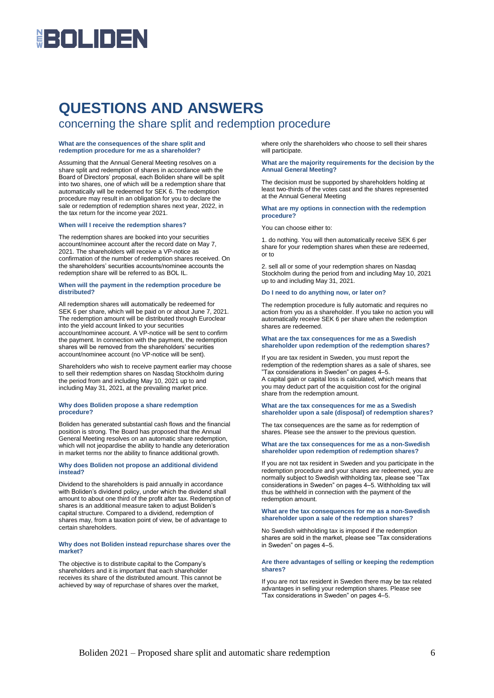# **HEOLIDEN**

# **QUESTIONS AND ANSWERS**

## concerning the share split and redemption procedure

#### **What are the consequences of the share split and redemption procedure for me as a shareholder?**

Assuming that the Annual General Meeting resolves on a share split and redemption of shares in accordance with the Board of Directors' proposal, each Boliden share will be split into two shares, one of which will be a redemption share that automatically will be redeemed for SEK 6. The redemption procedure may result in an obligation for you to declare the sale or redemption of redemption shares next year, 2022, in the tax return for the income year 2021.

#### **When will I receive the redemption shares?**

The redemption shares are booked into your securities account/nominee account after the record date on May 7, 2021. The shareholders will receive a VP-notice as confirmation of the number of redemption shares received. On the shareholders' securities accounts/nominee accounts the redemption share will be referred to as BOL IL.

#### **When will the payment in the redemption procedure be distributed?**

All redemption shares will automatically be redeemed for SEK 6 per share, which will be paid on or about June 7, 2021. The redemption amount will be distributed through Euroclear into the yield account linked to your securities account/nominee account. A VP-notice will be sent to confirm the payment. In connection with the payment, the redemption shares will be removed from the shareholders' securities account/nominee account (no VP-notice will be sent).

Shareholders who wish to receive payment earlier may choose to sell their redemption shares on Nasdaq Stockholm during the period from and including May 10, 2021 up to and including May 31, 2021, at the prevailing market price.

#### **Why does Boliden propose a share redemption procedure?**

Boliden has generated substantial cash flows and the financial position is strong. The Board has proposed that the Annual General Meeting resolves on an automatic share redemption, which will not jeopardise the ability to handle any deterioration in market terms nor the ability to finance additional growth.

#### **Why does Boliden not propose an additional dividend instead?**

Dividend to the shareholders is paid annually in accordance with Boliden's dividend policy, under which the dividend shall amount to about one third of the profit after tax. Redemption of shares is an additional measure taken to adjust Boliden's capital structure. Compared to a dividend, redemption of shares may, from a taxation point of view, be of advantage to certain shareholders.

#### **Why does not Boliden instead repurchase shares over the market?**

The objective is to distribute capital to the Company's shareholders and it is important that each shareholder receives its share of the distributed amount. This cannot be achieved by way of repurchase of shares over the market,

where only the shareholders who choose to sell their shares will participate.

#### **What are the majority requirements for the decision by the Annual General Meeting?**

The decision must be supported by shareholders holding at least two-thirds of the votes cast and the shares represented at the Annual General Meeting

#### **What are my options in connection with the redemption procedure?**

You can choose either to:

1. do nothing. You will then automatically receive SEK 6 per share for your redemption shares when these are redeemed, or to

2. sell all or some of your redemption shares on Nasdaq Stockholm during the period from and including May 10, 2021 up to and including May 31, 2021.

#### **Do I need to do anything now, or later on?**

The redemption procedure is fully automatic and requires no action from you as a shareholder. If you take no action you will automatically receive SEK 6 per share when the redemption shares are redeemed.

#### **What are the tax consequences for me as a Swedish shareholder upon redemption of the redemption shares?**

If you are tax resident in Sweden, you must report the redemption of the redemption shares as a sale of shares, see "Tax considerations in Sweden" on pages 4–5.

A capital gain or capital loss is calculated, which means that you may deduct part of the acquisition cost for the original share from the redemption amount.

#### **What are the tax consequences for me as a Swedish shareholder upon a sale (disposal) of redemption shares?**

The tax consequences are the same as for redemption of shares. Please see the answer to the previous question.

#### **What are the tax consequences for me as a non-Swedish shareholder upon redemption of redemption shares?**

If you are not tax resident in Sweden and you participate in the redemption procedure and your shares are redeemed, you are normally subject to Swedish withholding tax, please see "Tax considerations in Sweden" on pages 4–5. Withholding tax will thus be withheld in connection with the payment of the redemption amount.

#### **What are the tax consequences for me as a non-Swedish shareholder upon a sale of the redemption shares?**

No Swedish withholding tax is imposed if the redemption shares are sold in the market, please see "Tax considerations in Sweden" on pages 4–5.

#### **Are there advantages of selling or keeping the redemption shares?**

If you are not tax resident in Sweden there may be tax related advantages in selling your redemption shares. Please see "Tax considerations in Sweden" on pages 4–5.